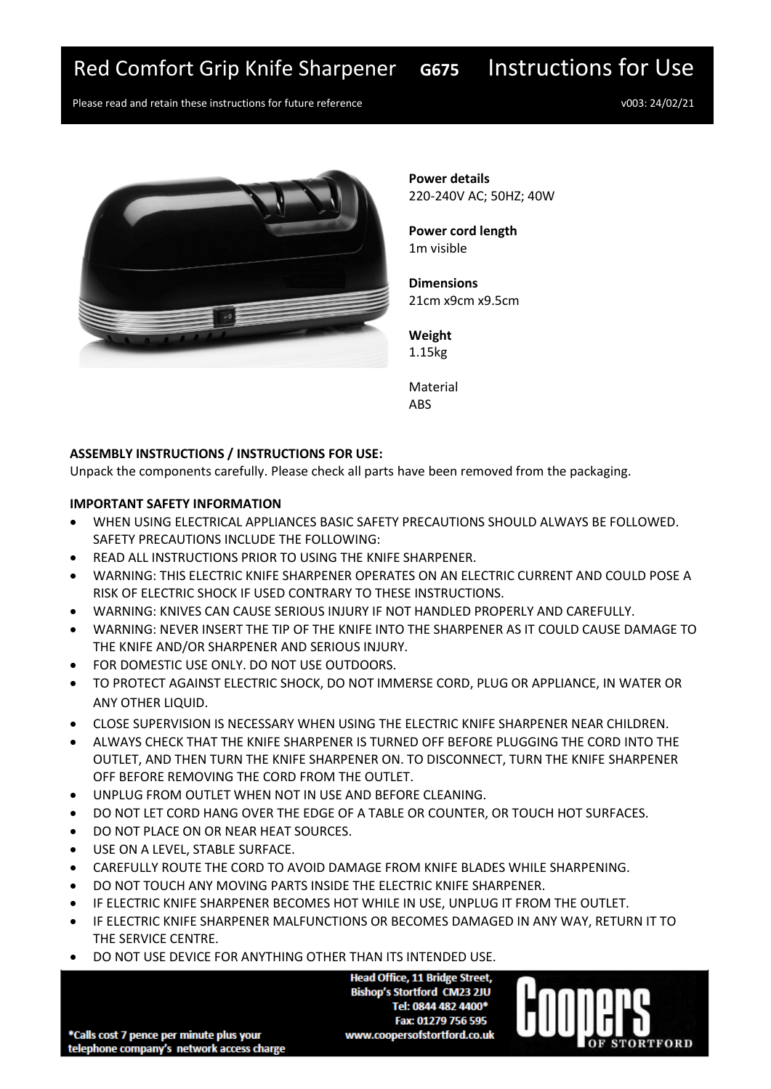# Red Comfort Grip Knife Sharpener **G675** Instructions for Use

Please read and retain these instructions for future reference v003: 24/02/21



**Power details** 220-240V AC; 50HZ; 40W

**Power cord length** 1m visible

**Dimensions** 21cm x9cm x9.5cm

**Weight** 1.15kg

Material **ARS** 

## **ASSEMBLY INSTRUCTIONS / INSTRUCTIONS FOR USE:**

Unpack the components carefully. Please check all parts have been removed from the packaging.

### **IMPORTANT SAFETY INFORMATION**

- WHEN USING ELECTRICAL APPLIANCES BASIC SAFETY PRECAUTIONS SHOULD ALWAYS BE FOLLOWED. SAFETY PRECAUTIONS INCLUDE THE FOLLOWING:
- READ ALL INSTRUCTIONS PRIOR TO USING THE KNIFE SHARPENER.
- WARNING: THIS ELECTRIC KNIFE SHARPENER OPERATES ON AN ELECTRIC CURRENT AND COULD POSE A RISK OF ELECTRIC SHOCK IF USED CONTRARY TO THESE INSTRUCTIONS.
- WARNING: KNIVES CAN CAUSE SERIOUS INJURY IF NOT HANDLED PROPERLY AND CAREFULLY.
- WARNING: NEVER INSERT THE TIP OF THE KNIFE INTO THE SHARPENER AS IT COULD CAUSE DAMAGE TO THE KNIFE AND/OR SHARPENER AND SERIOUS INJURY.
- FOR DOMESTIC USE ONLY. DO NOT USE OUTDOORS.
- TO PROTECT AGAINST ELECTRIC SHOCK, DO NOT IMMERSE CORD, PLUG OR APPLIANCE, IN WATER OR ANY OTHER LIQUID.
- CLOSE SUPERVISION IS NECESSARY WHEN USING THE ELECTRIC KNIFE SHARPENER NEAR CHILDREN.
- ALWAYS CHECK THAT THE KNIFE SHARPENER IS TURNED OFF BEFORE PLUGGING THE CORD INTO THE OUTLET, AND THEN TURN THE KNIFE SHARPENER ON. TO DISCONNECT, TURN THE KNIFE SHARPENER OFF BEFORE REMOVING THE CORD FROM THE OUTLET.
- UNPLUG FROM OUTLET WHEN NOT IN USE AND BEFORE CLEANING.
- DO NOT LET CORD HANG OVER THE EDGE OF A TABLE OR COUNTER, OR TOUCH HOT SURFACES.
- DO NOT PLACE ON OR NEAR HEAT SOURCES.
- USE ON A LEVEL, STABLE SURFACE.
- CAREFULLY ROUTE THE CORD TO AVOID DAMAGE FROM KNIFE BLADES WHILE SHARPENING.
- DO NOT TOUCH ANY MOVING PARTS INSIDE THE ELECTRIC KNIFE SHARPENER.
- IF ELECTRIC KNIFE SHARPENER BECOMES HOT WHILE IN USE, UNPLUG IT FROM THE OUTLET.
- IF ELECTRIC KNIFE SHARPENER MALFUNCTIONS OR BECOMES DAMAGED IN ANY WAY, RETURN IT TO THE SERVICE CENTRE.
- DO NOT USE DEVICE FOR ANYTHING OTHER THAN ITS INTENDED USE.

**Head Office, 11 Bridge Street, Bishop's Stortford CM23 2JU** Tel: 0844 482 4400\* Fax: 01279 756 595 www.coopersofstortford.co.uk



\*Calls cost 7 pence per minute plus your telephone company's network access charge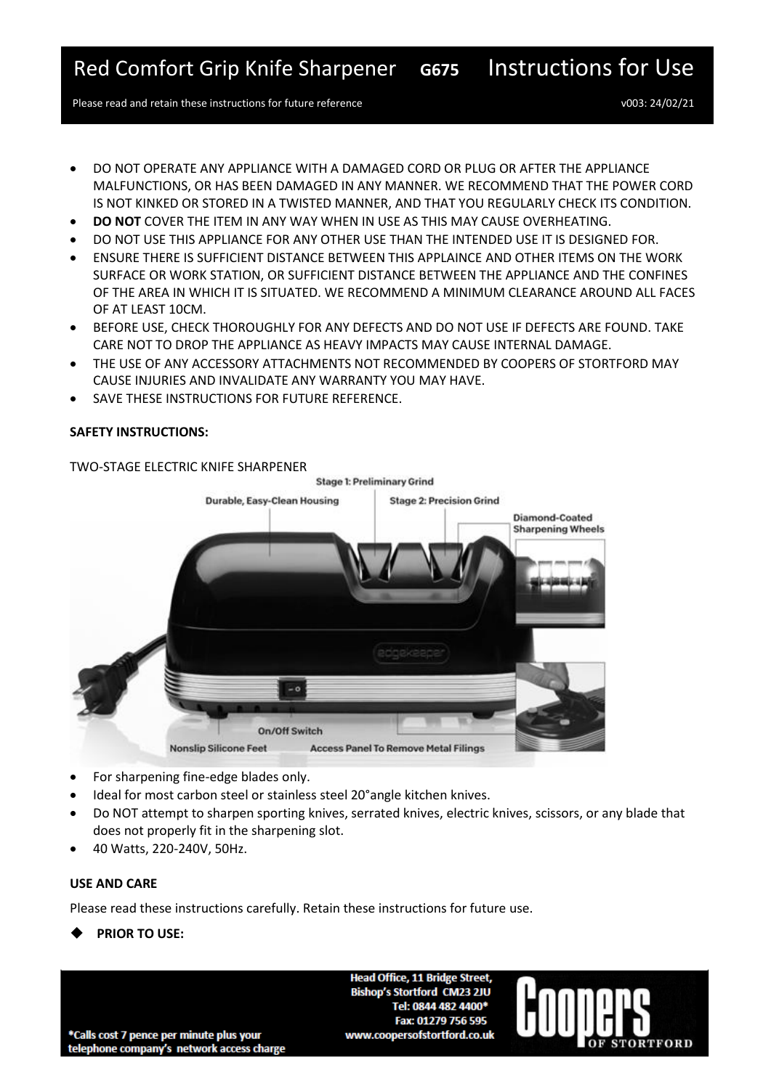Please read and retain these instructions for future reference v003: 24/02/21

- DO NOT OPERATE ANY APPLIANCE WITH A DAMAGED CORD OR PLUG OR AFTER THE APPLIANCE MALFUNCTIONS, OR HAS BEEN DAMAGED IN ANY MANNER. WE RECOMMEND THAT THE POWER CORD IS NOT KINKED OR STORED IN A TWISTED MANNER, AND THAT YOU REGULARLY CHECK ITS CONDITION.
- **DO NOT** COVER THE ITEM IN ANY WAY WHEN IN USE AS THIS MAY CAUSE OVERHEATING.
- DO NOT USE THIS APPLIANCE FOR ANY OTHER USE THAN THE INTENDED USE IT IS DESIGNED FOR.
- ENSURE THERE IS SUFFICIENT DISTANCE BETWEEN THIS APPLAINCE AND OTHER ITEMS ON THE WORK SURFACE OR WORK STATION, OR SUFFICIENT DISTANCE BETWEEN THE APPLIANCE AND THE CONFINES OF THE AREA IN WHICH IT IS SITUATED. WE RECOMMEND A MINIMUM CLEARANCE AROUND ALL FACES OF AT LEAST 10CM.
- BEFORE USE, CHECK THOROUGHLY FOR ANY DEFECTS AND DO NOT USE IF DEFECTS ARE FOUND. TAKE CARE NOT TO DROP THE APPLIANCE AS HEAVY IMPACTS MAY CAUSE INTERNAL DAMAGE.
- THE USE OF ANY ACCESSORY ATTACHMENTS NOT RECOMMENDED BY COOPERS OF STORTFORD MAY CAUSE INJURIES AND INVALIDATE ANY WARRANTY YOU MAY HAVE.
- SAVE THESE INSTRUCTIONS FOR FUTURE REFERENCE.

### **SAFETY INSTRUCTIONS:**



TWO-STAGE ELECTRIC KNIFE SHARPENER

- For sharpening fine-edge blades only.
- Ideal for most carbon steel or stainless steel 20°angle kitchen knives.
- Do NOT attempt to sharpen sporting knives, serrated knives, electric knives, scissors, or any blade that does not properly fit in the sharpening slot.
- 40 Watts, 220-240V, 50Hz.

## **USE AND CARE**

Please read these instructions carefully. Retain these instructions for future use.

◆ **PRIOR TO USE:**

**Head Office, 11 Bridge Street, Bishop's Stortford CM23 2JU** Tel: 0844 482 4400\* Fax: 01279 756 595 www.coopersofstortford.co.uk



\*Calls cost 7 pence per minute plus your telephone company's network access charge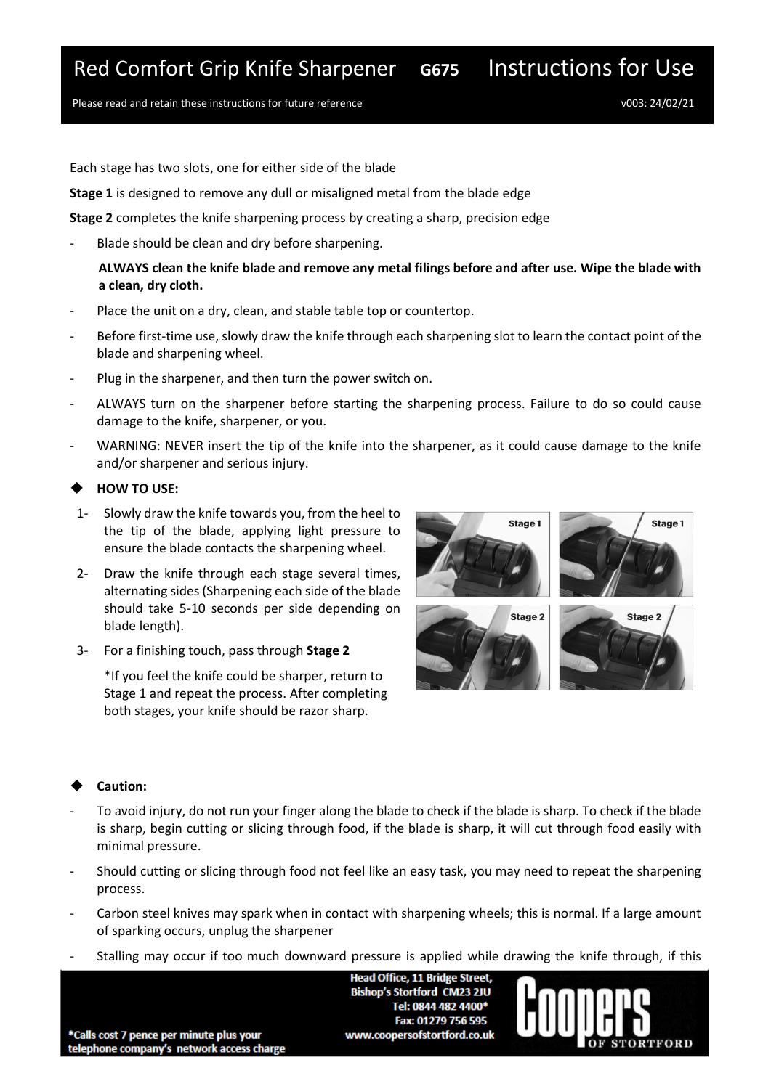## Red Comfort Grip Knife Sharpener **G675** Instructions for Use

Please read and retain these instructions for future reference v003: 24/02/21

Each stage has two slots, one for either side of the blade

**Stage 1** is designed to remove any dull or misaligned metal from the blade edge

**Stage 2** completes the knife sharpening process by creating a sharp, precision edge

Blade should be clean and dry before sharpening.

**ALWAYS clean the knife blade and remove any metal filings before and after use. Wipe the blade with a clean, dry cloth.**

- Place the unit on a dry, clean, and stable table top or countertop.
- Before first-time use, slowly draw the knife through each sharpening slot to learn the contact point of the blade and sharpening wheel.
- Plug in the sharpener, and then turn the power switch on.
- ALWAYS turn on the sharpener before starting the sharpening process. Failure to do so could cause damage to the knife, sharpener, or you.
- WARNING: NEVER insert the tip of the knife into the sharpener, as it could cause damage to the knife and/or sharpener and serious injury.

### ◆ **HOW TO USE:**

- 1- Slowly draw the knife towards you, from the heel to the tip of the blade, applying light pressure to ensure the blade contacts the sharpening wheel.
- 2- Draw the knife through each stage several times, alternating sides (Sharpening each side of the blade should take 5-10 seconds per side depending on blade length).
- 3- For a finishing touch, pass through **Stage 2**

\*If you feel the knife could be sharper, return to Stage 1 and repeat the process. After completing both stages, your knife should be razor sharp.



## Caution:

- To avoid injury, do not run your finger along the blade to check if the blade is sharp. To check if the blade is sharp, begin cutting or slicing through food, if the blade is sharp, it will cut through food easily with minimal pressure.
- Should cutting or slicing through food not feel like an easy task, you may need to repeat the sharpening process.
- Carbon steel knives may spark when in contact with sharpening wheels; this is normal. If a large amount of sparking occurs, unplug the sharpener
- Stalling may occur if too much downward pressure is applied while drawing the knife through, if this

**Head Office, 11 Bridge Street, Bishop's Stortford CM23 2JU** Tel: 0844 482 4400\* Fax: 01279 756 595 www.coopersofstortford.co.uk



\*Calls cost 7 pence per minute plus your telephone company's network access charge